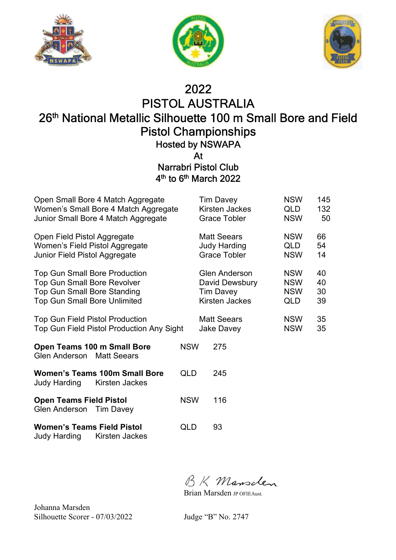





## 2022

## PISTOL AUSTRALIA 26 th National Metallic Silhouette 100 m Small Bore and Field Pistol Championships

Hosted by NSWAPA

At

#### Narrabri Pistol Club 4<sup>th</sup> to 6<sup>th</sup> March 2022

| Open Small Bore 4 Match Aggregate<br>Women's Small Bore 4 Match Aggregate<br>Junior Small Bore 4 Match Aggregate                                        |            | <b>Tim Davey</b><br>Kirsten Jackes<br><b>Grace Tobler</b>                    | <b>NSW</b><br>QLD<br><b>NSW</b>               | 145<br>132<br>50     |
|---------------------------------------------------------------------------------------------------------------------------------------------------------|------------|------------------------------------------------------------------------------|-----------------------------------------------|----------------------|
| Open Field Pistol Aggregate<br>Women's Field Pistol Aggregate<br>Junior Field Pistol Aggregate                                                          |            | <b>Matt Seears</b><br><b>Judy Harding</b><br><b>Grace Tobler</b>             | <b>NSW</b><br>QLD<br><b>NSW</b>               | 66<br>54<br>14       |
| <b>Top Gun Small Bore Production</b><br><b>Top Gun Small Bore Revolver</b><br><b>Top Gun Small Bore Standing</b><br><b>Top Gun Small Bore Unlimited</b> |            | <b>Glen Anderson</b><br>David Dewsbury<br><b>Tim Davey</b><br>Kirsten Jackes | <b>NSW</b><br><b>NSW</b><br><b>NSW</b><br>QLD | 40<br>40<br>30<br>39 |
| <b>Top Gun Field Pistol Production</b><br>Top Gun Field Pistol Production Any Sight                                                                     |            | <b>Matt Seears</b><br>Jake Davey                                             | <b>NSW</b><br><b>NSW</b>                      | 35<br>35             |
| Open Teams 100 m Small Bore<br><b>Glen Anderson</b> Matt Seears                                                                                         | <b>NSW</b> | 275                                                                          |                                               |                      |
| <b>Women's Teams 100m Small Bore</b><br>Judy Harding<br>Kirsten Jackes                                                                                  | QLD        | 245                                                                          |                                               |                      |
| <b>Open Teams Field Pistol</b><br>Glen Anderson Tim Davey                                                                                               | <b>NSW</b> | 116                                                                          |                                               |                      |
| <b>Women's Teams Field Pistol</b><br>Judy Harding<br>Kirsten Jackes                                                                                     | QLD        | 93                                                                           |                                               |                      |

BK Mansden

Brian Marsden JP OFIEAust.

Johanna Marsden Silhouette Scorer - 07/03/2022 Judge "B" No. 2747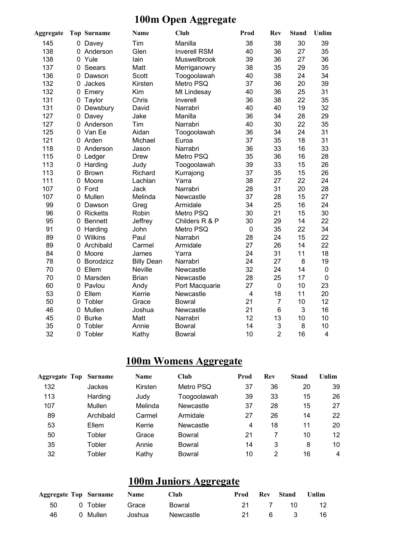### **100m Open Aggregate**

| <b>Aggregate</b> |              | <b>Top Surname</b> | <b>Name</b>       | <b>Club</b>         | Prod                    | <b>Rev</b>     | <b>Stand</b> | Unlim          |
|------------------|--------------|--------------------|-------------------|---------------------|-------------------------|----------------|--------------|----------------|
| 145              | 0            | Davey              | Tim               | Manilla             | 38                      | 38             | 30           | 39             |
| 138              | 0            | Anderson           | Glen              | <b>Inverell RSM</b> | 40                      | 36             | 27           | 35             |
| 138              | $\Omega$     | Yule               | lain              | Muswellbrook        | 39                      | 36             | 27           | 36             |
| 137              | 0            | Seears             | Matt              | Merriganowry        | 38                      | 35             | 29           | 35             |
| 136              | 0            | Dawson             | Scott             | Toogoolawah         | 40                      | 38             | 24           | 34             |
| 132              | 0            | Jackes             | Kirsten           | Metro PSQ           | 37                      | 36             | 20           | 39             |
| 132              | $\mathbf{0}$ | Emery              | Kim               | Mt Lindesay         | 40                      | 36             | 25           | 31             |
| 131              | 0            | Taylor             | Chris             | Inverell            | 36                      | 38             | 22           | 35             |
| 131              | 0            | Dewsbury           | David             | Narrabri            | 40                      | 40             | 19           | 32             |
| 127              | 0            | Davey              | Jake              | Manilla             | 36                      | 34             | 28           | 29             |
| 127              | $\mathbf 0$  | Anderson           | Tim               | Narrabri            | 40                      | 30             | 22           | 35             |
| 125              |              | 0 Van Ee           | Aidan             | Toogoolawah         | 36                      | 34             | 24           | 31             |
| 121              |              | 0 Arden            | Michael           | Euroa               | 37                      | 35             | 18           | 31             |
| 118              | 0            | Anderson           | Jason             | Narrabri            | 36                      | 33             | 16           | 33             |
| 115              | 0            | Ledger             | <b>Drew</b>       | Metro PSQ           | 35                      | 36             | 16           | 28             |
| 113              | 0            | Harding            | Judy              | Toogoolawah         | 39                      | 33             | 15           | 26             |
| 113              | 0            | <b>Brown</b>       | Richard           | Kurrajong           | 37                      | 35             | 15           | 26             |
| 111              | $\Omega$     | Moore              | Lachlan           | Yarra               | 38                      | 27             | 22           | 24             |
| 107              | $\mathbf{0}$ | Ford               | Jack              | Narrabri            | 28                      | 31             | 20           | 28             |
| 107              | 0            | Mullen             | Melinda           | Newcastle           | 37                      | 28             | 15           | 27             |
| 99               | 0            | Dawson             | Greg              | Armidale            | 34                      | 25             | 16           | 24             |
| 96               | 0            | <b>Ricketts</b>    | Robin             | Metro PSQ           | 30                      | 21             | 15           | 30             |
| 95               | 0            | <b>Bennett</b>     | Jeffrey           | Childers R & P      | 30                      | 29             | 14           | 22             |
| 91               | 0            | Harding            | John              | Metro PSQ           | $\mathbf 0$             | 35             | 22           | 34             |
| 89               | 0            | Wilkins            | Paul              | Narrabri            | 28                      | 24             | 15           | 22             |
| 89               | 0            | Archibald          | Carmel            | Armidale            | 27                      | 26             | 14           | 22             |
| 84               | 0            | Moore              | James             | Yarra               | 24                      | 31             | 11           | 18             |
| 78               | 0            | Borodzicz          | <b>Billy Dean</b> | Narrabri            | 24                      | 27             | 8            | 19             |
| 70               | 0            | Ellem              | <b>Neville</b>    | Newcastle           | 32                      | 24             | 14           | $\mathbf 0$    |
| 70               | 0            | Marsden            | <b>Brian</b>      | Newcastle           | 28                      | 25             | 17           | $\mathbf 0$    |
| 60               |              | 0 Pavlou           | Andy              | Port Macquarie      | 27                      | $\pmb{0}$      | 10           | 23             |
| 53               |              | 0 Ellem            | Kerrie            | Newcastle           | $\overline{\mathbf{4}}$ | 18             | 11           | 20             |
| 50               | 0            | Tobler             | Grace             | <b>Bowral</b>       | 21                      | $\overline{7}$ | 10           | 12             |
| 46               |              | 0 Mullen           | Joshua            | Newcastle           | 21                      | $6\phantom{1}$ | 3            | 16             |
| 45               | 0            | <b>Burke</b>       | Matt              | Narrabri            | 12                      | 13             | 10           | 10             |
| 35               | 0            | Tobler             | Annie             | <b>Bowral</b>       | 14                      | 3              | 8            | 10             |
| 32               | 0            | Tobler             | Kathy             | <b>Bowral</b>       | 10                      | $\overline{2}$ | 16           | $\overline{4}$ |

### **100m Womens Aggregate**

| <b>Aggregate Top</b> | Surname   | <b>Name</b> | Club        | Prod | <b>Rev</b> | <b>Stand</b> | Unlim |
|----------------------|-----------|-------------|-------------|------|------------|--------------|-------|
| 132                  | Jackes    | Kirsten     | Metro PSQ   | 37   | 36         | 20           | 39    |
| 113                  | Harding   | Judy        | Toogoolawah | 39   | 33         | 15           | 26    |
| 107                  | Mullen    | Melinda     | Newcastle   | 37   | 28         | 15           | 27    |
| 89                   | Archibald | Carmel      | Armidale    | 27   | 26         | 14           | 22    |
| 53                   | Ellem     | Kerrie      | Newcastle   | 4    | 18         | 11           | 20    |
| 50                   | Tobler    | Grace       | Bowral      | 21   |            | 10           | 12    |
| 35                   | Tobler    | Annie       | Bowral      | 14   | 3          | 8            | 10    |
| 32                   | Tobler    | Kathy       | Bowral      | 10   | 2          | 16           | 4     |

## **100m Juniors Aggregate**

|     | Aggregate Top Surname Name |        | <b>Club</b> |      | <b>Prod</b> Rev Stand | Unlim |
|-----|----------------------------|--------|-------------|------|-----------------------|-------|
|     | 50 0 Tobler Grace          |        | Bowral      | 21 7 | - 10                  | 12    |
| 46. | 0 Mullen                   | Joshua | Newcastle   |      | 6 3                   | 16.   |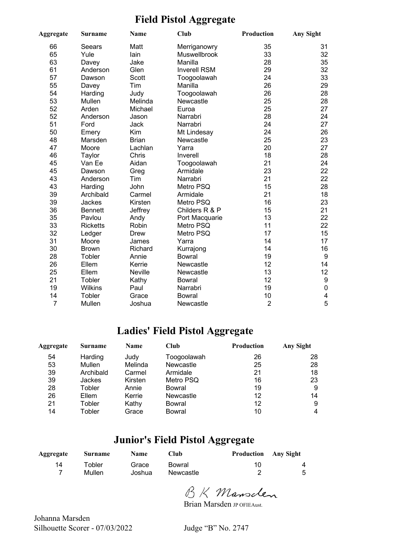### **Field Pistol Aggregate**

| Aggregate | <b>Surname</b>  | <b>Name</b>  | Club                | Production     | <b>Any Sight</b> |
|-----------|-----------------|--------------|---------------------|----------------|------------------|
| 66        | Seears          | Matt         | Merriganowry        | 35             | 31               |
| 65        | Yule            | lain         | Muswellbrook        | 33             | 32               |
| 63        | Davey           | Jake         | Manilla             | 28             | 35               |
| 61        | Anderson        | Glen         | <b>Inverell RSM</b> | 29             | 32               |
| 57        | Dawson          | Scott        | Toogoolawah         | 24             | 33               |
| 55        | Davey           | Tim          | Manilla             | 26             | 29               |
| 54        | Harding         | Judy         | Toogoolawah         | 26             | 28               |
| 53        | Mullen          | Melinda      | Newcastle           | 25             | 28               |
| 52        | Arden           | Michael      | Euroa               | 25             | 27               |
| 52        | Anderson        | Jason        | Narrabri            | 28             | 24               |
| 51        | Ford            | Jack         | Narrabri            | 24             | 27               |
| 50        | Emery           | Kim          | Mt Lindesay         | 24             | 26               |
| 48        | Marsden         | <b>Brian</b> | Newcastle           | 25             | 23               |
| 47        | Moore           | Lachlan      | Yarra               | 20             | 27               |
| 46        | Taylor          | Chris        | Inverell            | 18             | 28               |
| 45        | Van Ee          | Aidan        | Toogoolawah         | 21             | 24               |
| 45        | Dawson          | Greg         | Armidale            | 23             | 22               |
| 43        | Anderson        | Tim          | Narrabri            | 21             | 22               |
| 43        | Harding         | John         | Metro PSQ           | 15             | 28               |
| 39        | Archibald       | Carmel       | Armidale            | 21             | 18               |
| 39        | Jackes          | Kirsten      | Metro PSQ           | 16             | 23               |
| 36        | <b>Bennett</b>  | Jeffrey      | Childers R & P      | 15             | 21               |
| 35        | Pavlou          | Andy         | Port Macquarie      | 13             | 22               |
| 33        | <b>Ricketts</b> | Robin        | Metro PSQ           | 11             | 22               |
| 32        | Ledger          | <b>Drew</b>  | Metro PSQ           | 17             | 15               |
| 31        | Moore           | James        | Yarra               | 14             | 17               |
| 30        | <b>Brown</b>    | Richard      | Kurrajong           | 14             | 16               |
| 28        | Tobler          | Annie        | <b>Bowral</b>       | 19             | $\boldsymbol{9}$ |
| 26        | Ellem           | Kerrie       | Newcastle           | 12             | 14               |
| 25        | Ellem           | Neville      | Newcastle           | 13             | 12               |
| 21        | Tobler          | Kathy        | <b>Bowral</b>       | 12             | $\boldsymbol{9}$ |
| 19        | <b>Wilkins</b>  | Paul         | Narrabri            | 19             | $\pmb{0}$        |
| 14        | Tobler          | Grace        | <b>Bowral</b>       | 10             | 4                |
| 7         | Mullen          | Joshua       | Newcastle           | $\overline{2}$ | 5                |

#### **Ladies' Field Pistol Aggregate**

| Aggregate | <b>Surname</b> | <b>Name</b> | Club          | <b>Production</b> | <b>Any Sight</b> |
|-----------|----------------|-------------|---------------|-------------------|------------------|
| 54        | Harding        | Judy        | Toogoolawah   | 26                | 28               |
| 53        | Mullen         | Melinda     | Newcastle     | 25                | 28               |
| 39        | Archibald      | Carmel      | Armidale      | 21                | 18               |
| 39        | Jackes         | Kirsten     | Metro PSQ     | 16                | 23               |
| 28        | Tobler         | Annie       | Bowral        | 19                | 9                |
| 26        | Ellem          | Kerrie      | Newcastle     | 12                | 14               |
| 21        | Tobler         | Kathy       | Bowral        | 12                | 9                |
| 14        | Tobler         | Grace       | <b>Bowral</b> | 10                |                  |

### **Junior's Field Pistol Aggregate**

| Aggregate | <b>Surname</b> | <b>Name</b> | ∑lub.     | <b>Production</b> Any Sight |   |
|-----------|----------------|-------------|-----------|-----------------------------|---|
| 14        | Tobler         | Grace       | Bowral    | 10                          | 4 |
| 7         | Mullen         | Joshua      | Newcastle |                             | 5 |

BK Mansclen

Brian Marsden JP OFIEAust.

Johanna Marsden Silhouette Scorer - 07/03/2022 Judge "B" No. 2747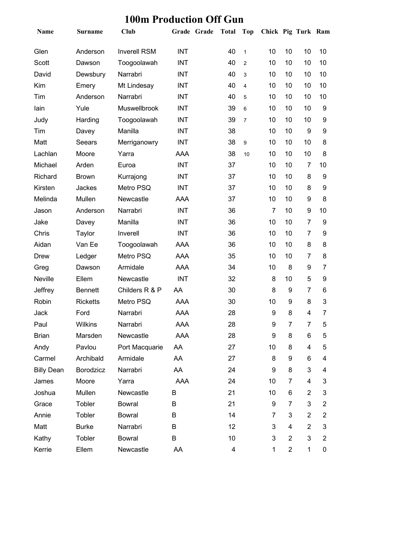| Name              | <b>Surname</b>  | <b>Club</b>         | Grade Grade Total |    | <b>Top</b>     | Chick Pig Turk Ram |                |                |                |
|-------------------|-----------------|---------------------|-------------------|----|----------------|--------------------|----------------|----------------|----------------|
| Glen              | Anderson        | <b>Inverell RSM</b> | <b>INT</b>        | 40 | $\mathbf{1}$   | 10                 | 10             | 10             | 10             |
| Scott             | Dawson          | Toogoolawah         | <b>INT</b>        | 40 | $\overline{2}$ | 10                 | 10             | 10             | 10             |
| David             | Dewsbury        | Narrabri            | <b>INT</b>        | 40 | 3              | 10                 | 10             | 10             | 10             |
| Kim               | Emery           | Mt Lindesay         | <b>INT</b>        | 40 | $\overline{4}$ | 10                 | 10             | 10             | 10             |
| Tim               | Anderson        | Narrabri            | <b>INT</b>        | 40 | 5              | 10                 | 10             | 10             | 10             |
| lain              | Yule            | Muswellbrook        | <b>INT</b>        | 39 | 6              | 10                 | 10             | 10             | 9              |
| Judy              | Harding         | Toogoolawah         | <b>INT</b>        | 39 | $\overline{7}$ | 10                 | 10             | 10             | 9              |
| Tim               | Davey           | Manilla             | <b>INT</b>        | 38 |                | 10                 | 10             | 9              | 9              |
| Matt              | Seears          | Merriganowry        | <b>INT</b>        | 38 | 9              | 10                 | 10             | 10             | 8              |
| Lachlan           | Moore           | Yarra               | <b>AAA</b>        | 38 | 10             | 10                 | 10             | 10             | 8              |
| Michael           | Arden           | Euroa               | <b>INT</b>        | 37 |                | 10                 | 10             | 7              | 10             |
| Richard           | <b>Brown</b>    | Kurrajong           | <b>INT</b>        | 37 |                | 10                 | 10             | 8              | 9              |
| Kirsten           | Jackes          | Metro PSQ           | <b>INT</b>        | 37 |                | 10                 | 10             | 8              | 9              |
| Melinda           | Mullen          | Newcastle           | <b>AAA</b>        | 37 |                | 10                 | 10             | 9              | 8              |
| Jason             | Anderson        | Narrabri            | <b>INT</b>        | 36 |                | $\overline{7}$     | 10             | 9              | 10             |
| Jake              | Davey           | Manilla             | <b>INT</b>        | 36 |                | 10                 | 10             | 7              | 9              |
| Chris             | Taylor          | Inverell            | <b>INT</b>        | 36 |                | 10                 | 10             | 7              | 9              |
| Aidan             | Van Ee          | Toogoolawah         | AAA               | 36 |                | 10                 | 10             | 8              | 8              |
| <b>Drew</b>       | Ledger          | Metro PSQ           | <b>AAA</b>        | 35 |                | 10                 | 10             | 7              | 8              |
| Greg              | Dawson          | Armidale            | AAA               | 34 |                | 10                 | 8              | 9              | $\overline{7}$ |
| Neville           | Ellem           | Newcastle           | <b>INT</b>        | 32 |                | 8                  | 10             | 5              | 9              |
| Jeffrey           | <b>Bennett</b>  | Childers R & P      | AA                | 30 |                | 8                  | 9              | 7              | 6              |
| Robin             | <b>Ricketts</b> | Metro PSQ           | <b>AAA</b>        | 30 |                | 10                 | 9              | 8              | 3              |
| Jack              | Ford            | Narrabri            | <b>AAA</b>        | 28 |                | 9                  | 8              | $\overline{4}$ | $\overline{7}$ |
| Paul              | Wilkins         | Narrabri            | AAA               | 28 |                | 9                  | $\overline{7}$ | $\overline{7}$ | 5              |
| <b>Brian</b>      | Marsden         | Newcastle           | AAA               | 28 |                | 9                  | 8              | 6              | 5              |
| Andy              | Pavlou          | Port Macquarie      | AA                | 27 |                | 10                 | 8              | 4              | 5              |
| Carmel            | Archibald       | Armidale            | AA                | 27 |                | 8                  | 9              | 6              | 4              |
| <b>Billy Dean</b> | Borodzicz       | Narrabri            | AA                | 24 |                | 9                  | 8              | 3              | 4              |
| James             | Moore           | Yarra               | AAA               | 24 |                | 10                 | 7              | 4              | 3              |
| Joshua            | Mullen          | Newcastle           | B                 | 21 |                | 10                 | 6              | $\overline{c}$ | 3              |
| Grace             | Tobler          | <b>Bowral</b>       | B                 | 21 |                | 9                  | 7              | 3              | $\overline{2}$ |
| Annie             | Tobler          | <b>Bowral</b>       | B                 | 14 |                | 7                  | 3              | $\overline{2}$ | $\overline{2}$ |
| Matt              | <b>Burke</b>    | Narrabri            | B                 | 12 |                | 3                  | 4              | $\overline{2}$ | 3              |
| Kathy             | Tobler          | <b>Bowral</b>       | B                 | 10 |                | 3                  | $\overline{2}$ | 3              | $\overline{2}$ |
| Kerrie            | Ellem           | Newcastle           | AA                | 4  |                | 1                  | $\overline{2}$ | 1              | 0              |

### **100m Production Off Gun**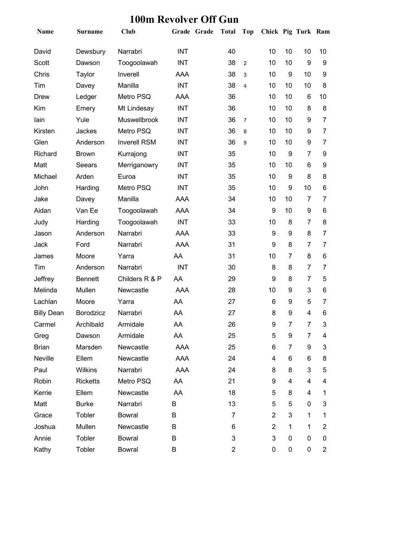| Name              | Surname         | <b>Club</b>         |            | Grade Grade | <b>Total</b>            | Top            | Chick Pig Turk Ram |                |                |                |
|-------------------|-----------------|---------------------|------------|-------------|-------------------------|----------------|--------------------|----------------|----------------|----------------|
| David             | Dewsbury        | Narrabri            | <b>INT</b> |             | 40                      |                | 10                 | 10             | 10             | 10             |
| Scott             | Dawson          | Toogoolawah         | <b>INT</b> |             | 38                      | $\overline{2}$ | 10                 | 10             | 9              | 9              |
| Chris             | Taylor          | Inverell            | AAA        |             | 38                      | 3              | 10                 | 9              | 10             | 9              |
| Tim               | Davey           | Manilla             | <b>INT</b> |             | 38                      | $\overline{4}$ | 10                 | 10             | 10             | 8              |
| <b>Drew</b>       | Ledger          | Metro PSQ           | AAA        |             | 36                      |                | 10                 | 10             | 6              | 10             |
| Kim               | Emery           | Mt Lindesay         | <b>INT</b> |             | 36                      |                | 10                 | 10             | 8              | 8              |
| lain              | Yule            | <b>Muswellbrook</b> | <b>INT</b> |             | 36                      | $\overline{7}$ | 10                 | 10             | 9              | 7              |
| Kirsten           | Jackes          | Metro PSQ           | <b>INT</b> |             | 36                      | 8              | 10                 | 10             | 9              | $\overline{7}$ |
| Glen              | Anderson        | <b>Inverell RSM</b> | <b>INT</b> |             | 36                      | 9              | 10                 | 10             | 9              | 7              |
| Richard           | <b>Brown</b>    | Kurrajong           | <b>INT</b> |             | 35                      |                | 10                 | 9              | 7              | 9              |
| Matt              | Seears          | Merriganowry        | <b>INT</b> |             | 35                      |                | 10                 | 10             | 6              | 9              |
| Michael           | Arden           | Euroa               | <b>INT</b> |             | 35                      |                | 10                 | 9              | 8              | 8              |
| John              | Harding         | Metro PSQ           | <b>INT</b> |             | 35                      |                | 10                 | 9              | 10             | 6              |
| Jake              | Davey           | Manilla             | <b>AAA</b> |             | 34                      |                | 10                 | 10             | 7              | 7              |
| Aidan             | Van Ee          | Toogoolawah         | <b>AAA</b> |             | 34                      |                | 9                  | 10             | 9              | 6              |
| Judy              | Harding         | Toogoolawah         | <b>INT</b> |             | 33                      |                | 10                 | 8              | $\overline{7}$ | 8              |
| Jason             | Anderson        | Narrabri            | AAA        |             | 33                      |                | 9                  | 9              | 8              | 7              |
| Jack              | Ford            | Narrabri            | <b>AAA</b> |             | 31                      |                | 9                  | 8              | 7              | 7              |
| James             | Moore           | Yarra               | AA         |             | 31                      |                | 10                 | 7              | 8              | 6              |
| Tim               | Anderson        | Narrabri            | <b>INT</b> |             | 30                      |                | 8                  | 8              | 7              | 7              |
| Jeffrey           | <b>Bennett</b>  | Childers R & P      | AA         |             | 29                      |                | 9                  | 8              | 7              | 5              |
| Melinda           | Mullen          | Newcastle           | AAA        |             | 28                      |                | 10                 | 9              | 3              | 6              |
| Lachlan           | Moore           | Yarra               | AA         |             | 27                      |                | 6                  | 9              | 5              | 7              |
| <b>Billy Dean</b> | Borodzicz       | Narrabri            | AA         |             | 27                      |                | 8                  | 9              | $\overline{4}$ | 6              |
| Carmel            | Archibald       | Armidale            | AA         |             | 26                      |                | 9                  | $\overline{7}$ | $\overline{7}$ | 3              |
| Greg              | Dawson          | Armidale            | AA         |             | 25                      |                | 5                  | 9              | 7              | 4              |
| <b>Brian</b>      | Marsden         | Newcastle           | AAA        |             | 25                      |                | 6                  | 7              | 9              | 3              |
| Neville           | Ellem           | Newcastle           | AAA        |             | 24                      |                | 4                  | 6              | 6              | 8              |
| Paul              | Wilkins         | Narrabri            | AAA        |             | 24                      |                | 8                  | 8              | 3              | 5              |
| Robin             | <b>Ricketts</b> | Metro PSQ           | AA         |             | 21                      |                | 9                  | 4              | 4              | 4              |
| Kerrie            | Ellem           | Newcastle           | AA         |             | 18                      |                | 5                  | 8              | 4              | 1              |
| Matt              | <b>Burke</b>    | Narrabri            | B          |             | 13                      |                | 5                  | 5              | 0              | 3              |
| Grace             | Tobler          | <b>Bowral</b>       | B          |             | 7                       |                | $\overline{2}$     | 3              | 1              | 1              |
| Joshua            | Mullen          | Newcastle           | В          |             | 6                       |                | $\overline{2}$     | 1              | 1              | 2              |
| Annie             | Tobler          | <b>Bowral</b>       | B          |             | 3                       |                | 3                  | 0              | 0              | 0              |
| Kathy             | Tobler          | <b>Bowral</b>       | В          |             | $\overline{\mathbf{c}}$ |                | 0                  | 0              | 0              | 2              |

### **100m Revolver Off Gun**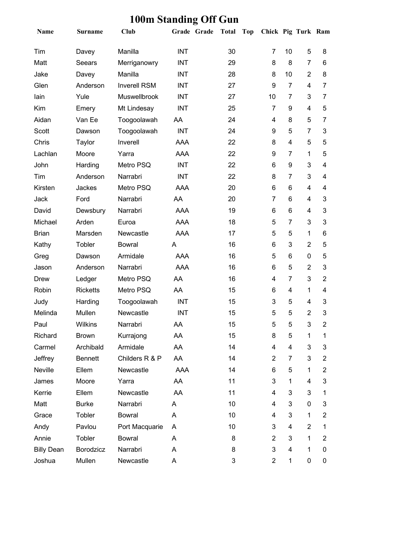| Name              | <b>Surname</b>  | <b>Club</b>         | Grade Grade | <b>Total</b> | <b>Top</b> | Chick Pig Turk Ram |                |                |                         |
|-------------------|-----------------|---------------------|-------------|--------------|------------|--------------------|----------------|----------------|-------------------------|
| Tim               | Davey           | Manilla             | <b>INT</b>  | 30           |            | 7                  | 10             | 5              | 8                       |
| Matt              | Seears          | Merriganowry        | <b>INT</b>  | 29           |            | 8                  | 8              | $\overline{7}$ | 6                       |
| Jake              | Davey           | Manilla             | <b>INT</b>  | 28           |            | 8                  | 10             | $\overline{2}$ | 8                       |
| Glen              | Anderson        | <b>Inverell RSM</b> | <b>INT</b>  | 27           |            | 9                  | $\overline{7}$ | 4              | 7                       |
| lain              | Yule            | <b>Muswellbrook</b> | <b>INT</b>  | 27           |            | 10                 | $\overline{7}$ | 3              | $\overline{7}$          |
| Kim               | Emery           | Mt Lindesay         | <b>INT</b>  | 25           |            | 7                  | 9              | 4              | 5                       |
| Aidan             | Van Ee          | Toogoolawah         | AA          | 24           |            | 4                  | 8              | 5              | 7                       |
| Scott             | Dawson          | Toogoolawah         | <b>INT</b>  | 24           |            | 9                  | 5              | $\overline{7}$ | 3                       |
| Chris             | Taylor          | Inverell            | AAA         | 22           |            | 8                  | 4              | 5              | 5                       |
| Lachlan           | Moore           | Yarra               | AAA         | 22           |            | 9                  | $\overline{7}$ | 1              | 5                       |
| John              | Harding         | Metro PSQ           | <b>INT</b>  | 22           |            | 6                  | 9              | 3              | 4                       |
| Tim               | Anderson        | Narrabri            | <b>INT</b>  | 22           |            | 8                  | $\overline{7}$ | 3              | $\overline{\mathbf{4}}$ |
| Kirsten           | Jackes          | Metro PSQ           | <b>AAA</b>  | 20           |            | 6                  | 6              | 4              | 4                       |
| Jack              | Ford            | Narrabri            | AA          | 20           |            | 7                  | 6              | 4              | 3                       |
| David             | Dewsbury        | Narrabri            | <b>AAA</b>  | 19           |            | 6                  | 6              | 4              | 3                       |
| Michael           | Arden           | Euroa               | AAA         | 18           |            | 5                  | $\overline{7}$ | 3              | 3                       |
| <b>Brian</b>      | Marsden         | Newcastle           | <b>AAA</b>  | 17           |            | 5                  | 5              | 1              | 6                       |
| Kathy             | Tobler          | <b>Bowral</b>       | A           | 16           |            | 6                  | 3              | $\overline{2}$ | 5                       |
| Greg              | Dawson          | Armidale            | <b>AAA</b>  | 16           |            | 5                  | 6              | 0              | 5                       |
| Jason             | Anderson        | Narrabri            | AAA         | 16           |            | 6                  | 5              | $\overline{2}$ | 3                       |
| <b>Drew</b>       | Ledger          | Metro PSQ           | AA          | 16           |            | 4                  | $\overline{7}$ | 3              | $\overline{2}$          |
| Robin             | <b>Ricketts</b> | Metro PSQ           | AA          | 15           |            | 6                  | 4              | $\mathbf{1}$   | 4                       |
| Judy              | Harding         | Toogoolawah         | <b>INT</b>  | 15           |            | 3                  | 5              | 4              | 3                       |
| Melinda           | Mullen          | Newcastle           | <b>INT</b>  | 15           |            | 5                  | 5              | $\overline{2}$ | 3                       |
| Paul              | Wilkins         | Narrabri            | AA          | 15           |            | 5                  | 5              | 3              | 2                       |
| Richard           | <b>Brown</b>    | Kurrajong           | AA          | 15           |            | 8                  | 5              | 1              | 1                       |
| Carmel            | Archibald       | Armidale            | AA          | 14           |            | 4                  | 4              | 3              | 3                       |
| Jeffrey           | <b>Bennett</b>  | Childers R & P      | AA          | 14           |            | $\overline{2}$     | 7              | 3              | $\overline{2}$          |
| Neville           | Ellem           | Newcastle           | AAA         | 14           |            | 6                  | 5              | 1              | $\overline{2}$          |
| James             | Moore           | Yarra               | AA          | 11           |            | 3                  | 1              | 4              | 3                       |
| Kerrie            | Ellem           | Newcastle           | AA          | 11           |            | 4                  | 3              | 3              | 1                       |
| Matt              | <b>Burke</b>    | Narrabri            | A           | 10           |            | 4                  | 3              | 0              | 3                       |
| Grace             | Tobler          | <b>Bowral</b>       | A           | 10           |            | 4                  | $\mathbf{3}$   | 1              | 2                       |
| Andy              | Pavlou          | Port Macquarie      | A           | 10           |            | 3                  | 4              | $\overline{2}$ | 1                       |
| Annie             | Tobler          | <b>Bowral</b>       | A           | 8            |            | $\overline{2}$     | $\mathbf{3}$   | 1              | $\overline{2}$          |
| <b>Billy Dean</b> | Borodzicz       | Narrabri            | A           | 8            |            | 3                  | 4              | 1              | 0                       |
| Joshua            | Mullen          | Newcastle           | Α           | 3            |            | $\overline{2}$     | $\mathbf{1}$   | 0              | 0                       |

### **100m Standing Off Gun**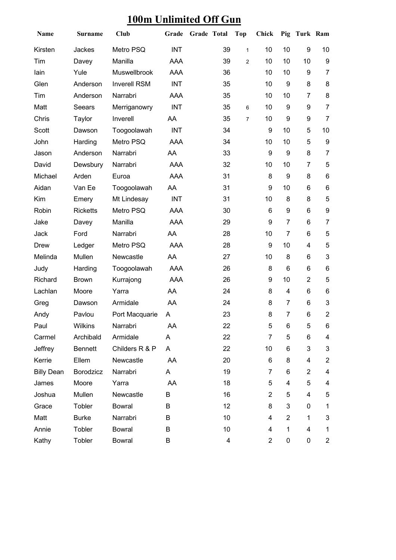| 100m Unlimited Off Gun |
|------------------------|
|------------------------|

| Name              | <b>Surname</b>  | <b>Club</b>         | Grade      | Grade Total |    | <b>Top</b>     | Chick          |                         | Pig Turk Ram     |                           |
|-------------------|-----------------|---------------------|------------|-------------|----|----------------|----------------|-------------------------|------------------|---------------------------|
| Kirsten           | Jackes          | Metro PSQ           | <b>INT</b> |             | 39 | $\mathbf{1}$   | 10             | 10                      | $\boldsymbol{9}$ | 10                        |
| Tim               | Davey           | Manilla             | AAA        |             | 39 | $\overline{c}$ | 10             | 10                      | 10               | $\boldsymbol{9}$          |
| lain              | Yule            | Muswellbrook        | <b>AAA</b> |             | 36 |                | 10             | 10                      | 9                | $\overline{7}$            |
| Glen              | Anderson        | <b>Inverell RSM</b> | <b>INT</b> |             | 35 |                | 10             | $\boldsymbol{9}$        | 8                | 8                         |
| Tim               | Anderson        | Narrabri            | <b>AAA</b> |             | 35 |                | 10             | 10                      | $\overline{7}$   | $\bf 8$                   |
| Matt              | Seears          | Merriganowry        | <b>INT</b> |             | 35 | 6              | 10             | 9                       | 9                | $\overline{7}$            |
| Chris             | Taylor          | Inverell            | AA         |             | 35 | 7              | 10             | 9                       | 9                | $\overline{7}$            |
| Scott             | Dawson          | Toogoolawah         | <b>INT</b> |             | 34 |                | 9              | 10                      | 5                | 10                        |
| John              | Harding         | Metro PSQ           | <b>AAA</b> |             | 34 |                | 10             | 10                      | 5                | $\boldsymbol{9}$          |
| Jason             | Anderson        | Narrabri            | AA         |             | 33 |                | 9              | 9                       | 8                | $\overline{7}$            |
| David             | Dewsbury        | Narrabri            | AAA        |             | 32 |                | 10             | 10                      | 7                | 5                         |
| Michael           | Arden           | Euroa               | AAA        |             | 31 |                | 8              | 9                       | 8                | $\,6$                     |
| Aidan             | Van Ee          | Toogoolawah         | AA         |             | 31 |                | 9              | 10                      | 6                | $\,6\,$                   |
| Kim               | Emery           | Mt Lindesay         | <b>INT</b> |             | 31 |                | 10             | 8                       | 8                | 5                         |
| Robin             | <b>Ricketts</b> | Metro PSQ           | <b>AAA</b> |             | 30 |                | 6              | 9                       | 6                | $\boldsymbol{9}$          |
| Jake              | Davey           | Manilla             | <b>AAA</b> |             | 29 |                | 9              | $\overline{7}$          | 6                | $\overline{7}$            |
| Jack              | Ford            | Narrabri            | AA         |             | 28 |                | 10             | $\overline{7}$          | 6                | $\mathbf 5$               |
| <b>Drew</b>       | Ledger          | Metro PSQ           | <b>AAA</b> |             | 28 |                | 9              | 10                      | $\overline{4}$   | 5                         |
| Melinda           | Mullen          | Newcastle           | AA         |             | 27 |                | 10             | 8                       | 6                | 3                         |
| Judy              | Harding         | Toogoolawah         | AAA        |             | 26 |                | 8              | 6                       | 6                | 6                         |
| Richard           | <b>Brown</b>    | Kurrajong           | <b>AAA</b> |             | 26 |                | 9              | 10                      | $\overline{2}$   | 5                         |
| Lachlan           | Moore           | Yarra               | AA         |             | 24 |                | 8              | 4                       | 6                | 6                         |
| Greg              | Dawson          | Armidale            | AA         |             | 24 |                | 8              | $\overline{7}$          | 6                | $\ensuremath{\mathsf{3}}$ |
| Andy              | Pavlou          | Port Macquarie      | A          |             | 23 |                | 8              | $\overline{7}$          | 6                | $\overline{2}$            |
| Paul              | <b>Wilkins</b>  | Narrabri            | AA         |             | 22 |                | 5              | 6                       | 5                | 6                         |
| Carmel            | Archibald       | Armidale            | A          |             | 22 |                | $\overline{7}$ | 5                       | 6                | $\overline{\mathbf{4}}$   |
| Jeffrey           | <b>Bennett</b>  | Childers R & P      | A          |             | 22 |                | 10             | 6                       | 3                | $\mathbf{3}$              |
| Kerrie            | Ellem           | Newcastle           | AA         |             | 20 |                | 6              | 8                       | 4                | $\overline{\mathbf{c}}$   |
| <b>Billy Dean</b> | Borodzicz       | Narrabri            | A          |             | 19 |                | $\overline{7}$ | 6                       | $\overline{2}$   | $\overline{\mathbf{4}}$   |
| James             | Moore           | Yarra               | AA         |             | 18 |                | 5              | $\overline{\mathbf{4}}$ | 5                | 4                         |
| Joshua            | Mullen          | Newcastle           | B          |             | 16 |                | $\overline{2}$ | 5                       | 4                | 5                         |
| Grace             | Tobler          | <b>Bowral</b>       | B          |             | 12 |                | 8              | 3                       | 0                | 1                         |
| Matt              | <b>Burke</b>    | Narrabri            | B          |             | 10 |                | 4              | $\overline{c}$          | 1                | 3                         |
| Annie             | Tobler          | <b>Bowral</b>       | B          |             | 10 |                | 4              | $\mathbf 1$             | 4                | 1                         |
| Kathy             | Tobler          | <b>Bowral</b>       | В          |             | 4  |                | $\overline{2}$ | 0                       | 0                | $\overline{2}$            |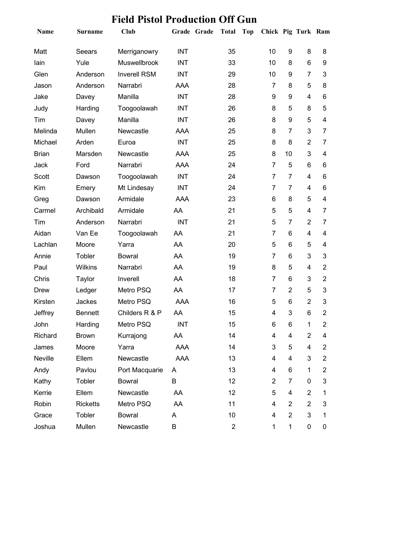| <b>Name</b>  | Surname         | <b>Club</b>         |            | Grade Grade | <b>Total</b> | <b>Top</b> | Chick Pig Turk Ram |                  |                |                          |
|--------------|-----------------|---------------------|------------|-------------|--------------|------------|--------------------|------------------|----------------|--------------------------|
| Matt         | Seears          | Merriganowry        | <b>INT</b> |             | 35           |            | 10                 | 9                | 8              | 8                        |
| lain         | Yule            | Muswellbrook        | <b>INT</b> |             | 33           |            | 10                 | 8                | $6\phantom{1}$ | 9                        |
| Glen         | Anderson        | <b>Inverell RSM</b> | <b>INT</b> |             | 29           |            | 10                 | 9                | $\overline{7}$ | 3                        |
| Jason        | Anderson        | Narrabri            | AAA        |             | 28           |            | 7                  | 8                | 5              | 8                        |
| Jake         | Davey           | Manilla             | <b>INT</b> |             | 28           |            | 9                  | 9                | 4              | 6                        |
| Judy         | Harding         | Toogoolawah         | <b>INT</b> |             | 26           |            | 8                  | 5                | 8              | 5                        |
| Tim          | Davey           | Manilla             | <b>INT</b> |             | 26           |            | 8                  | 9                | 5              | $\overline{\mathcal{A}}$ |
| Melinda      | Mullen          | Newcastle           | AAA        |             | 25           |            | 8                  | $\overline{7}$   | 3              | $\overline{7}$           |
| Michael      | Arden           | Euroa               | <b>INT</b> |             | 25           |            | 8                  | 8                | $\overline{2}$ | 7                        |
| <b>Brian</b> | Marsden         | Newcastle           | <b>AAA</b> |             | 25           |            | 8                  | 10               | 3              | $\overline{\mathcal{A}}$ |
| Jack         | Ford            | Narrabri            | AAA        |             | 24           |            | $\overline{7}$     | 5                | 6              | 6                        |
| Scott        | Dawson          | Toogoolawah         | <b>INT</b> |             | 24           |            | 7                  | 7                | 4              | 6                        |
| Kim          | Emery           | Mt Lindesay         | <b>INT</b> |             | 24           |            | 7                  | $\overline{7}$   | 4              | 6                        |
| Greg         | Dawson          | Armidale            | AAA        |             | 23           |            | 6                  | 8                | 5              | $\overline{\mathbf{4}}$  |
| Carmel       | Archibald       | Armidale            | AA         |             | 21           |            | 5                  | 5                | $\overline{4}$ | 7                        |
| Tim          | Anderson        | Narrabri            | <b>INT</b> |             | 21           |            | 5                  | 7                | $\overline{2}$ | 7                        |
| Aidan        | Van Ee          | Toogoolawah         | AA         |             | 21           |            | 7                  | 6                | 4              | $\overline{\mathcal{A}}$ |
| Lachlan      | Moore           | Yarra               | AA         |             | 20           |            | 5                  | 6                | 5              | 4                        |
| Annie        | Tobler          | <b>Bowral</b>       | AA         |             | 19           |            | 7                  | 6                | 3              | 3                        |
| Paul         | <b>Wilkins</b>  | Narrabri            | AA         |             | 19           |            | 8                  | 5                | 4              | $\overline{2}$           |
| Chris        | Taylor          | Inverell            | AA         |             | 18           |            | $\overline{7}$     | 6                | 3              | $\overline{2}$           |
| <b>Drew</b>  | Ledger          | Metro PSQ           | AA         |             | 17           |            | $\overline{7}$     | $\overline{2}$   | 5              | 3                        |
| Kirsten      | Jackes          | Metro PSQ           | AAA        |             | 16           |            | 5                  | 6                | $\overline{2}$ | 3                        |
| Jeffrey      | <b>Bennett</b>  | Childers R & P      | AA         |             | 15           |            | 4                  | 3                | 6              | $\overline{2}$           |
| John         | Harding         | Metro PSQ           | <b>INT</b> |             | 15           |            | 6.                 | 6                | 1              | 2                        |
| Richard      | <b>Brown</b>    | Kurrajong           | AA         |             | 14           |            | 4                  | 4                | $\overline{2}$ | 4                        |
| James        | Moore           | Yarra               | AAA        |             | 14           |            | 3                  | 5                | 4              | 2                        |
| Neville      | Ellem           | Newcastle           | AAA        |             | 13           |            | 4                  | 4                | 3              | $\overline{2}$           |
| Andy         | Pavlou          | Port Macquarie      | A          |             | 13           |            | 4                  | 6                | 1              | $\overline{2}$           |
| Kathy        | Tobler          | <b>Bowral</b>       | B          |             | 12           |            | $\overline{2}$     | $\overline{7}$   | 0              | 3                        |
| Kerrie       | Ellem           | Newcastle           | AA         |             | 12           |            | 5                  | 4                | $\overline{2}$ | 1                        |
| Robin        | <b>Ricketts</b> | Metro PSQ           | AA         |             | 11           |            | 4                  | $\overline{2}$   | $\overline{2}$ | 3                        |
| Grace        | Tobler          | <b>Bowral</b>       | A          |             | 10           |            | 4                  | $\boldsymbol{2}$ | 3              | 1                        |
| Joshua       | Mullen          | Newcastle           | B          |             | $\mathbf{2}$ |            | 1                  | $\mathbf{1}$     | $\pmb{0}$      | 0                        |

### **Field Pistol Production Off Gun**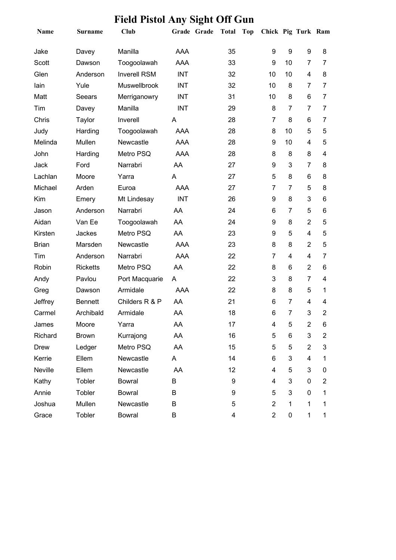| Name         | <b>Surname</b>  | <b>Club</b>         |            | Grade Grade | Total Top | Chick Pig Turk Ram |                  |                |                         |
|--------------|-----------------|---------------------|------------|-------------|-----------|--------------------|------------------|----------------|-------------------------|
| Jake         | Davey           | Manilla             | AAA        |             | 35        | 9                  | $\boldsymbol{9}$ | 9              | 8                       |
| Scott        | Dawson          | Toogoolawah         | AAA        |             | 33        | 9                  | 10               | 7              | 7                       |
| Glen         | Anderson        | <b>Inverell RSM</b> | <b>INT</b> |             | 32        | 10                 | 10               | 4              | 8                       |
| lain         | Yule            | Muswellbrook        | <b>INT</b> |             | 32        | 10                 | 8                | 7              | 7                       |
| Matt         | Seears          | Merriganowry        | <b>INT</b> |             | 31        | 10                 | 8                | 6              | $\overline{7}$          |
| Tim          | Davey           | Manilla             | <b>INT</b> |             | 29        | 8                  | 7                | 7              | $\overline{7}$          |
| Chris        | Taylor          | Inverell            | A          |             | 28        | 7                  | 8                | 6              | 7                       |
| Judy         | Harding         | Toogoolawah         | AAA        |             | 28        | 8                  | 10               | 5              | 5                       |
| Melinda      | Mullen          | Newcastle           | AAA        |             | 28        | 9                  | 10               | 4              | 5                       |
| John         | Harding         | Metro PSQ           | AAA        |             | 28        | 8                  | 8                | 8              | $\overline{\mathbf{4}}$ |
| Jack         | Ford            | Narrabri            | AA         |             | 27        | 9                  | 3                | $\overline{7}$ | 8                       |
| Lachlan      | Moore           | Yarra               | A          |             | 27        | 5                  | 8                | 6              | 8                       |
| Michael      | Arden           | Euroa               | AAA        |             | 27        | 7                  | 7                | 5              | 8                       |
| Kim          | Emery           | Mt Lindesay         | <b>INT</b> |             | 26        | 9                  | 8                | 3              | 6                       |
| Jason        | Anderson        | Narrabri            | AA         |             | 24        | 6                  | 7                | 5              | 6                       |
| Aidan        | Van Ee          | Toogoolawah         | AA         |             | 24        | 9                  | 8                | $\overline{2}$ | 5                       |
| Kirsten      | Jackes          | Metro PSQ           | AA         |             | 23        | 9                  | 5                | 4              | 5                       |
| <b>Brian</b> | Marsden         | Newcastle           | AAA        |             | 23        | 8                  | 8                | $\overline{2}$ | 5                       |
| Tim          | Anderson        | Narrabri            | <b>AAA</b> |             | 22        | 7                  | 4                | 4              | 7                       |
| Robin        | <b>Ricketts</b> | Metro PSQ           | AA         |             | 22        | 8                  | 6                | $\overline{2}$ | 6                       |
| Andy         | Pavlou          | Port Macquarie      | A          |             | 22        | 3                  | 8                | $\overline{7}$ | 4                       |
| Greg         | Dawson          | Armidale            | AAA        |             | 22        | 8                  | 8                | 5              | 1                       |
| Jeffrey      | <b>Bennett</b>  | Childers R & P      | AA         |             | 21        | 6                  | 7                | 4              | 4                       |
| Carmel       | Archibald       | Armidale            | AA         |             | 18        | 6                  | $\overline{7}$   | 3              | $\overline{2}$          |
| James        | Moore           | Yarra               | AA         |             | 17        | 4                  | 5                | $\overline{c}$ | 6                       |
| Richard      | <b>Brown</b>    | Kurrajong           | AA         |             | 16        | 5                  | 6                | 3              | 2                       |
| <b>Drew</b>  | Ledger          | Metro PSQ           | AA         |             | 15        | 5                  | 5                | $\overline{2}$ | 3                       |
| Kerrie       | Ellem           | Newcastle           | A          |             | 14        | 6                  | 3                | 4              | 1                       |
| Neville      | Ellem           | Newcastle           | AA         |             | 12        | 4                  | 5                | 3              | 0                       |
| Kathy        | Tobler          | <b>Bowral</b>       | B          |             | 9         | 4                  | 3                | 0              | 2                       |
| Annie        | Tobler          | <b>Bowral</b>       | В          |             | 9         | 5                  | 3                | 0              | 1                       |
| Joshua       | Mullen          | Newcastle           | В          |             | 5         | $\overline{2}$     | $\mathbf 1$      | 1              | 1                       |
| Grace        | Tobler          | <b>Bowral</b>       | В          |             | 4         | $\overline{2}$     | $\pmb{0}$        | 1              | 1                       |

### **Field Pistol Any Sight Off Gun**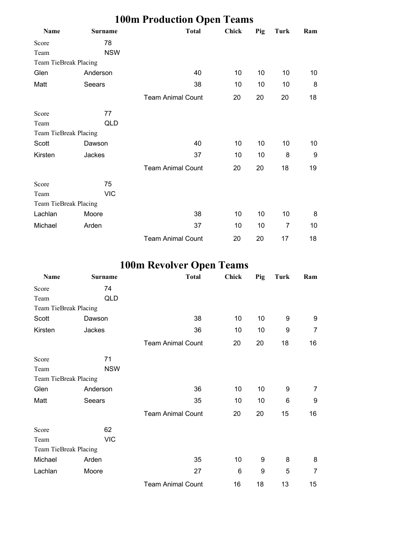|                       |                | <b>100m Production Open Teams</b> |              |     |      |     |
|-----------------------|----------------|-----------------------------------|--------------|-----|------|-----|
| Name                  | <b>Surname</b> | <b>Total</b>                      | <b>Chick</b> | Pig | Turk | Ram |
| Score                 | 78             |                                   |              |     |      |     |
| Team                  | <b>NSW</b>     |                                   |              |     |      |     |
| Team TieBreak Placing |                |                                   |              |     |      |     |
| Glen                  | Anderson       | 40                                | 10           | 10  | 10   | 10  |
| Matt                  | <b>Seears</b>  | 38                                | 10           | 10  | 10   | 8   |
|                       |                | <b>Team Animal Count</b>          | 20           | 20  | 20   | 18  |
| Score                 | 77             |                                   |              |     |      |     |
| Team                  | QLD            |                                   |              |     |      |     |
| Team TieBreak Placing |                |                                   |              |     |      |     |
| Scott                 | Dawson         | 40                                | 10           | 10  | 10   | 10  |
| Kirsten               | Jackes         | 37                                | 10           | 10  | 8    | 9   |
|                       |                | <b>Team Animal Count</b>          | 20           | 20  | 18   | 19  |
| Score                 | 75             |                                   |              |     |      |     |
| Team                  | <b>VIC</b>     |                                   |              |     |      |     |
| Team TieBreak Placing |                |                                   |              |     |      |     |
| Lachlan               | Moore          | 38                                | 10           | 10  | 10   | 8   |
| Michael               | Arden          | 37                                | 10           | 10  | 7    | 10  |
|                       |                | <b>Team Animal Count</b>          | 20           | 20  | 17   | 18  |

# **100m Revolver Open Teams**

| Name                  | <b>Surname</b> | <b>Total</b>             | <b>Chick</b> | Pig | Turk | Ram |
|-----------------------|----------------|--------------------------|--------------|-----|------|-----|
| Score                 | 74             |                          |              |     |      |     |
| Team                  | QLD            |                          |              |     |      |     |
| Team TieBreak Placing |                |                          |              |     |      |     |
| Scott                 | Dawson         | 38                       | 10           | 10  | 9    | 9   |
| Kirsten               | Jackes         | 36                       | 10           | 10  | 9    | 7   |
|                       |                | <b>Team Animal Count</b> | 20           | 20  | 18   | 16  |
| Score                 | 71             |                          |              |     |      |     |
| Team                  | <b>NSW</b>     |                          |              |     |      |     |
| Team TieBreak Placing |                |                          |              |     |      |     |
| Glen                  | Anderson       | 36                       | 10           | 10  | 9    | 7   |
| Matt                  | Seears         | 35                       | 10           | 10  | 6    | 9   |
|                       |                | <b>Team Animal Count</b> | 20           | 20  | 15   | 16  |
| Score                 | 62             |                          |              |     |      |     |
| Team                  | <b>VIC</b>     |                          |              |     |      |     |
| Team TieBreak Placing |                |                          |              |     |      |     |
| Michael               | Arden          | 35                       | 10           | 9   | 8    | 8   |
| Lachlan               | Moore          | 27                       | 6            | 9   | 5    | 7   |
|                       |                | <b>Team Animal Count</b> | 16           | 18  | 13   | 15  |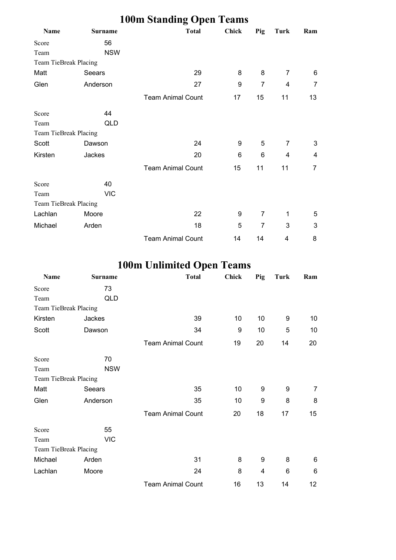|                       |                | <b>100m Standing Open Teams</b> |              |                |      |     |
|-----------------------|----------------|---------------------------------|--------------|----------------|------|-----|
| Name                  | <b>Surname</b> | <b>Total</b>                    | <b>Chick</b> | Pig            | Turk | Ram |
| Score                 | 56             |                                 |              |                |      |     |
| Team                  | <b>NSW</b>     |                                 |              |                |      |     |
| Team TieBreak Placing |                |                                 |              |                |      |     |
| Matt                  | Seears         | 29                              | 8            | 8              | 7    | 6   |
| Glen                  | Anderson       | 27                              | 9            | $\overline{7}$ | 4    | 7   |
|                       |                | <b>Team Animal Count</b>        | 17           | 15             | 11   | 13  |
| Score                 | 44             |                                 |              |                |      |     |
| Team                  | QLD            |                                 |              |                |      |     |
| Team TieBreak Placing |                |                                 |              |                |      |     |
| Scott                 | Dawson         | 24                              | 9            | 5              | 7    | 3   |
| Kirsten               | Jackes         | 20                              | 6            | 6              | 4    | 4   |
|                       |                | <b>Team Animal Count</b>        | 15           | 11             | 11   | 7   |
| Score                 | 40             |                                 |              |                |      |     |
| Team                  | <b>VIC</b>     |                                 |              |                |      |     |
| Team TieBreak Placing |                |                                 |              |                |      |     |
| Lachlan               | Moore          | 22                              | 9            | 7              | 1    | 5   |
| Michael               | Arden          | 18                              | 5            | 7              | 3    | 3   |
|                       |                | <b>Team Animal Count</b>        | 14           | 14             | 4    | 8   |

# **100m Unlimited Open Teams**

| Name                  | <b>Surname</b> | <b>Total</b>             | <b>Chick</b> | Pig | Turk | Ram |
|-----------------------|----------------|--------------------------|--------------|-----|------|-----|
| Score                 | 73             |                          |              |     |      |     |
| Team                  | QLD            |                          |              |     |      |     |
| Team TieBreak Placing |                |                          |              |     |      |     |
| Kirsten               | Jackes         | 39                       | 10           | 10  | 9    | 10  |
| Scott                 | Dawson         | 34                       | 9            | 10  | 5    | 10  |
|                       |                | <b>Team Animal Count</b> | 19           | 20  | 14   | 20  |
| Score                 | 70             |                          |              |     |      |     |
| Team                  | <b>NSW</b>     |                          |              |     |      |     |
| Team TieBreak Placing |                |                          |              |     |      |     |
| Matt                  | Seears         | 35                       | 10           | 9   | 9    | 7   |
| Glen                  | Anderson       | 35                       | 10           | 9   | 8    | 8   |
|                       |                | <b>Team Animal Count</b> | 20           | 18  | 17   | 15  |
| Score                 | 55             |                          |              |     |      |     |
| Team                  | <b>VIC</b>     |                          |              |     |      |     |
| Team TieBreak Placing |                |                          |              |     |      |     |
| Michael               | Arden          | 31                       | 8            | 9   | 8    | 6   |
| Lachlan               | Moore          | 24                       | 8            | 4   | 6    | 6   |
|                       |                | <b>Team Animal Count</b> | 16           | 13  | 14   | 12  |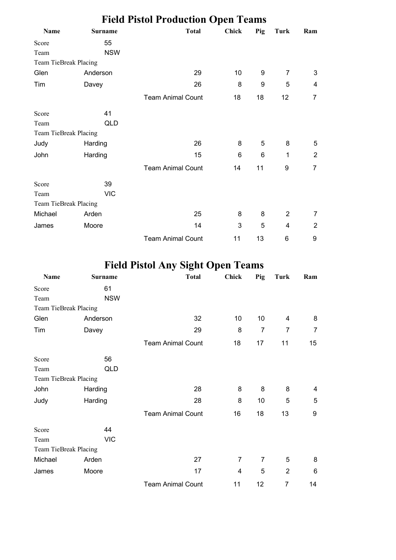|                       |                | <b>Field Pistol Production Open Teams</b> |              |     |      |     |
|-----------------------|----------------|-------------------------------------------|--------------|-----|------|-----|
| Name                  | <b>Surname</b> | <b>Total</b>                              | <b>Chick</b> | Pig | Turk | Ram |
| Score                 | 55             |                                           |              |     |      |     |
| Team                  | <b>NSW</b>     |                                           |              |     |      |     |
| Team TieBreak Placing |                |                                           |              |     |      |     |
| Glen                  | Anderson       | 29                                        | 10           | 9   | 7    | 3   |
| Tim                   | Davey          | 26                                        | 8            | 9   | 5    | 4   |
|                       |                | <b>Team Animal Count</b>                  | 18           | 18  | 12   | 7   |
| Score                 | 41             |                                           |              |     |      |     |
| Team                  | QLD            |                                           |              |     |      |     |
| Team TieBreak Placing |                |                                           |              |     |      |     |
| Judy                  | Harding        | 26                                        | 8            | 5   | 8    | 5   |
| John                  | Harding        | 15                                        | 6            | 6   | 1    | 2   |
|                       |                | <b>Team Animal Count</b>                  | 14           | 11  | 9    | 7   |
| Score                 | 39             |                                           |              |     |      |     |
| Team                  | <b>VIC</b>     |                                           |              |     |      |     |
| Team TieBreak Placing |                |                                           |              |     |      |     |
| Michael               | Arden          | 25                                        | 8            | 8   | 2    | 7   |
| James                 | Moore          | 14                                        | 3            | 5   | 4    | 2   |
|                       |                | <b>Team Animal Count</b>                  | 11           | 13  | 6    | 9   |

# **Field Pistol Any Sight Open Teams**

| Name                  | <b>Surname</b> | <b>Total</b>             | <b>Chick</b>   | Pig            | Turk           | Ram |
|-----------------------|----------------|--------------------------|----------------|----------------|----------------|-----|
| Score                 | 61             |                          |                |                |                |     |
| Team                  | <b>NSW</b>     |                          |                |                |                |     |
| Team TieBreak Placing |                |                          |                |                |                |     |
| Glen                  | Anderson       | 32                       | 10             | 10             | 4              | 8   |
| Tim                   | Davey          | 29                       | 8              | $\overline{7}$ | 7              | 7   |
|                       |                | <b>Team Animal Count</b> | 18             | 17             | 11             | 15  |
| Score                 | 56             |                          |                |                |                |     |
| Team                  | QLD            |                          |                |                |                |     |
| Team TieBreak Placing |                |                          |                |                |                |     |
| John                  | Harding        | 28                       | 8              | 8              | 8              | 4   |
| Judy                  | Harding        | 28                       | 8              | 10             | 5              | 5   |
|                       |                | <b>Team Animal Count</b> | 16             | 18             | 13             | 9   |
| Score                 | 44             |                          |                |                |                |     |
| Team                  | <b>VIC</b>     |                          |                |                |                |     |
| Team TieBreak Placing |                |                          |                |                |                |     |
| Michael               | Arden          | 27                       | $\overline{7}$ | $\overline{7}$ | 5              | 8   |
| James                 | Moore          | 17                       | 4              | 5              | $\overline{2}$ | 6   |
|                       |                | <b>Team Animal Count</b> | 11             | 12             | 7              | 14  |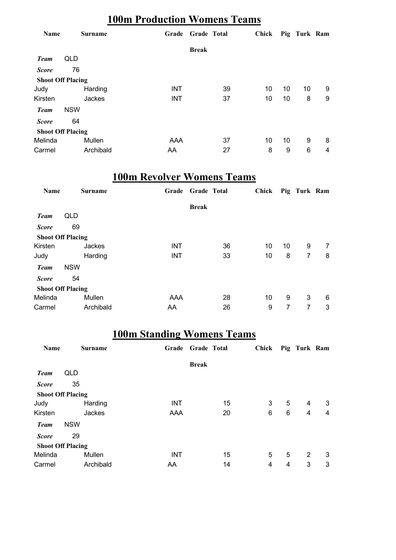### **100m Production Womens Teams**

| <b>Name</b>              |            | <b>Surname</b> | Grade      | <b>Grade Total</b> |    | Chick |    |    | Pig Turk Ram |   |
|--------------------------|------------|----------------|------------|--------------------|----|-------|----|----|--------------|---|
|                          |            |                |            | <b>Break</b>       |    |       |    |    |              |   |
| <b>Team</b>              | QLD        |                |            |                    |    |       |    |    |              |   |
| <b>Score</b>             | 76         |                |            |                    |    |       |    |    |              |   |
| <b>Shoot Off Placing</b> |            |                |            |                    |    |       |    |    |              |   |
| Judy                     |            | Harding        | <b>INT</b> |                    | 39 |       | 10 | 10 | 10           | 9 |
| Kirsten                  |            | Jackes         | <b>INT</b> |                    | 37 |       | 10 | 10 | 8            | 9 |
| <b>Team</b>              | <b>NSW</b> |                |            |                    |    |       |    |    |              |   |
| <b>Score</b>             | 64         |                |            |                    |    |       |    |    |              |   |
| <b>Shoot Off Placing</b> |            |                |            |                    |    |       |    |    |              |   |
| Melinda                  |            | Mullen         | AAA        |                    | 37 |       | 10 | 10 | 9            | 8 |
| Carmel                   |            | Archibald      | AA         |                    | 27 |       | 8  | 9  | 6            | 4 |

### **100m Revolver Womens Teams**

| <b>Name</b>              |            | <b>Surname</b> | Grade      | <b>Grade Total</b> |    | Chick |    | Pig Turk Ram |   |
|--------------------------|------------|----------------|------------|--------------------|----|-------|----|--------------|---|
|                          |            |                |            | <b>Break</b>       |    |       |    |              |   |
| <b>Team</b>              | QLD        |                |            |                    |    |       |    |              |   |
| <b>Score</b>             | 69         |                |            |                    |    |       |    |              |   |
| <b>Shoot Off Placing</b> |            |                |            |                    |    |       |    |              |   |
| Kirsten                  |            | Jackes         | <b>INT</b> |                    | 36 | 10    | 10 | 9            | 7 |
| Judy                     |            | Harding        | <b>INT</b> |                    | 33 | 10    | 8  | 7            | 8 |
| <b>Team</b>              | <b>NSW</b> |                |            |                    |    |       |    |              |   |
| <b>Score</b>             | 54         |                |            |                    |    |       |    |              |   |
| <b>Shoot Off Placing</b> |            |                |            |                    |    |       |    |              |   |
| Melinda                  |            | Mullen         | AAA        |                    | 28 | 10    | 9  | 3            | 6 |
| Carmel                   |            | Archibald      | AA         |                    | 26 | 9     | 7  | 7            | 3 |

## **100m Standing Womens Teams**

| Name                     |            | <b>Surname</b> | Grade      | <b>Grade Total</b> |    | Chick Pig Turk Ram |   |   |   |
|--------------------------|------------|----------------|------------|--------------------|----|--------------------|---|---|---|
|                          |            |                |            | <b>Break</b>       |    |                    |   |   |   |
| <b>Team</b>              | QLD        |                |            |                    |    |                    |   |   |   |
| <b>Score</b>             | 35         |                |            |                    |    |                    |   |   |   |
| <b>Shoot Off Placing</b> |            |                |            |                    |    |                    |   |   |   |
| Judy                     |            | Harding        | <b>INT</b> |                    | 15 | 3                  | 5 | 4 | 3 |
| Kirsten                  |            | Jackes         | AAA        |                    | 20 | 6                  | 6 | 4 | 4 |
| <b>Team</b>              | <b>NSW</b> |                |            |                    |    |                    |   |   |   |
| <b>Score</b>             | 29         |                |            |                    |    |                    |   |   |   |
| <b>Shoot Off Placing</b> |            |                |            |                    |    |                    |   |   |   |
| Melinda                  |            | Mullen         | <b>INT</b> |                    | 15 | 5                  | 5 | 2 | 3 |
| Carmel                   |            | Archibald      | AA         |                    | 14 | 4                  | 4 | 3 | 3 |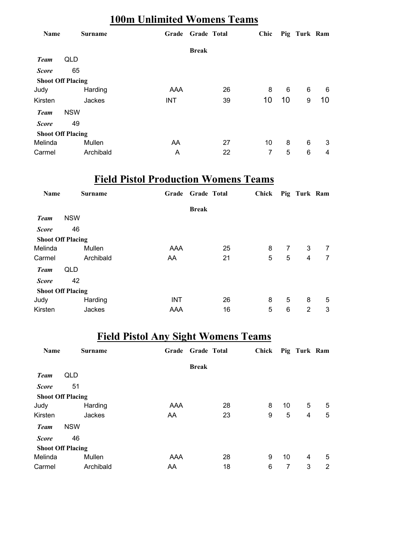### **100m Unlimited Womens Teams**

| Name                     |            | <b>Surname</b> | Grade      | <b>Grade Total</b> |    | Chic |    | Pig Turk Ram |    |
|--------------------------|------------|----------------|------------|--------------------|----|------|----|--------------|----|
|                          |            |                |            | <b>Break</b>       |    |      |    |              |    |
| <b>Team</b>              | QLD        |                |            |                    |    |      |    |              |    |
| <b>Score</b>             | 65         |                |            |                    |    |      |    |              |    |
| <b>Shoot Off Placing</b> |            |                |            |                    |    |      |    |              |    |
| Judy                     |            | Harding        | AAA        |                    | 26 | 8    | 6  | 6            | 6  |
| Kirsten                  |            | Jackes         | <b>INT</b> |                    | 39 | 10   | 10 | 9            | 10 |
| <b>Team</b>              | <b>NSW</b> |                |            |                    |    |      |    |              |    |
| <b>Score</b>             | 49         |                |            |                    |    |      |    |              |    |
| <b>Shoot Off Placing</b> |            |                |            |                    |    |      |    |              |    |
| Melinda                  |            | Mullen         | AA         |                    | 27 | 10   | 8  | 6            | 3  |
| Carmel                   |            | Archibald      | A          |                    | 22 | 7    | 5  | 6            | 4  |

## **Field Pistol Production Womens Teams**

| <b>Name</b>              |            | <b>Surname</b> | Grade      | <b>Grade Total</b> |    | <b>Chick</b> |   | Pig Turk Ram |                |
|--------------------------|------------|----------------|------------|--------------------|----|--------------|---|--------------|----------------|
|                          |            |                |            | <b>Break</b>       |    |              |   |              |                |
| <b>Team</b>              | <b>NSW</b> |                |            |                    |    |              |   |              |                |
| <b>Score</b>             | 46         |                |            |                    |    |              |   |              |                |
| <b>Shoot Off Placing</b> |            |                |            |                    |    |              |   |              |                |
| Melinda                  |            | Mullen         | AAA        |                    | 25 | 8            | 7 | 3            | $\overline{7}$ |
| Carmel                   |            | Archibald      | AA         |                    | 21 | 5            | 5 | 4            | $\overline{7}$ |
| <b>Team</b>              | QLD        |                |            |                    |    |              |   |              |                |
| <b>Score</b>             | 42         |                |            |                    |    |              |   |              |                |
| <b>Shoot Off Placing</b> |            |                |            |                    |    |              |   |              |                |
| Judy                     |            | Harding        | <b>INT</b> |                    | 26 | 8            | 5 | 8            | 5              |
| Kirsten                  |            | Jackes         | AAA        |                    | 16 | 5            | 6 | 2            | 3              |

### **Field Pistol Any Sight Womens Teams**

| Name                     |            | <b>Surname</b> | Grade | <b>Grade Total</b> |    | Chick |    | Pig Turk Ram |   |
|--------------------------|------------|----------------|-------|--------------------|----|-------|----|--------------|---|
|                          |            |                |       | <b>Break</b>       |    |       |    |              |   |
| <b>Team</b>              | QLD        |                |       |                    |    |       |    |              |   |
| <b>Score</b>             | 51         |                |       |                    |    |       |    |              |   |
| <b>Shoot Off Placing</b> |            |                |       |                    |    |       |    |              |   |
| Judy                     |            | Harding        | AAA   |                    | 28 | 8     | 10 | 5            | 5 |
| Kirsten                  |            | Jackes         | AA    |                    | 23 | 9     | 5  | 4            | 5 |
| <b>Team</b>              | <b>NSW</b> |                |       |                    |    |       |    |              |   |
| <b>Score</b>             | 46         |                |       |                    |    |       |    |              |   |
| <b>Shoot Off Placing</b> |            |                |       |                    |    |       |    |              |   |
| Melinda                  |            | Mullen         | AAA   |                    | 28 | 9     | 10 | 4            | 5 |
| Carmel                   |            | Archibald      | AA    |                    | 18 | 6     | 7  | 3            | 2 |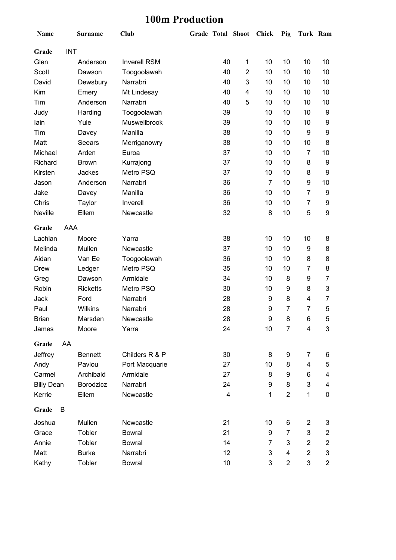### **100m Production**

| Name              |            | <b>Surname</b>  | <b>Club</b>         | <b>Grade Total Shoot</b> |                | <b>Chick</b> | Pig                     | Turk Ram       |                         |
|-------------------|------------|-----------------|---------------------|--------------------------|----------------|--------------|-------------------------|----------------|-------------------------|
| Grade             | <b>INT</b> |                 |                     |                          |                |              |                         |                |                         |
| Glen              |            | Anderson        | <b>Inverell RSM</b> | 40                       | $\mathbf 1$    | 10           | 10                      | 10             | 10                      |
| Scott             |            | Dawson          | Toogoolawah         | 40                       | $\overline{2}$ | 10           | 10                      | 10             | 10                      |
| David             |            | Dewsbury        | Narrabri            | 40                       | 3              | 10           | 10                      | 10             | 10                      |
| Kim               |            | Emery           | Mt Lindesay         | 40                       | 4              | 10           | 10                      | 10             | 10                      |
| Tim               |            | Anderson        | Narrabri            | 40                       | 5              | 10           | 10                      | 10             | 10                      |
| Judy              |            | Harding         | Toogoolawah         | 39                       |                | 10           | 10                      | 10             | 9                       |
| lain              |            | Yule            | Muswellbrook        | 39                       |                | 10           | 10                      | 10             | 9                       |
| Tim               |            | Davey           | Manilla             | 38                       |                | 10           | 10                      | 9              | $\boldsymbol{9}$        |
| Matt              |            | Seears          | Merriganowry        | 38                       |                | 10           | 10                      | 10             | 8                       |
| Michael           |            | Arden           | Euroa               | 37                       |                | 10           | 10                      | $\overline{7}$ | 10                      |
| Richard           |            | <b>Brown</b>    | Kurrajong           | 37                       |                | 10           | 10                      | 8              | 9                       |
| Kirsten           |            | Jackes          | Metro PSQ           | 37                       |                | 10           | 10                      | 8              | 9                       |
| Jason             |            | Anderson        | Narrabri            | 36                       |                | 7            | 10                      | 9              | 10                      |
| Jake              |            | Davey           | Manilla             | 36                       |                | 10           | 10                      | 7              | 9                       |
| Chris             |            | Taylor          | Inverell            | 36                       |                | 10           | 10                      | 7              | 9                       |
| Neville           |            | Ellem           | Newcastle           | 32                       |                | 8            | 10                      | 5              | $\boldsymbol{9}$        |
| Grade             | AAA        |                 |                     |                          |                |              |                         |                |                         |
| Lachlan           |            | Moore           | Yarra               | 38                       |                | 10           | 10                      | 10             | 8                       |
| Melinda           |            | Mullen          | Newcastle           | 37                       |                | 10           | 10                      | 9              | 8                       |
| Aidan             |            | Van Ee          | Toogoolawah         | 36                       |                | 10           | 10                      | 8              | 8                       |
| <b>Drew</b>       |            | Ledger          | Metro PSQ           | 35                       |                | 10           | 10                      | 7              | 8                       |
| Greg              |            | Dawson          | Armidale            | 34                       |                | 10           | 8                       | 9              | $\overline{7}$          |
| Robin             |            | <b>Ricketts</b> | Metro PSQ           | 30                       |                | 10           | 9                       | 8              | 3                       |
| Jack              |            | Ford            | Narrabri            | 28                       |                | 9            | 8                       | 4              | 7                       |
| Paul              |            | Wilkins         | Narrabri            | 28                       |                | 9            | 7                       | 7              | 5                       |
| <b>Brian</b>      |            | Marsden         | Newcastle           | 28                       |                | 9            | 8                       | 6              | 5                       |
| James             |            | Moore           | Yarra               | 24                       |                | 10           | $\boldsymbol{7}$        | 4              | 3                       |
| Grade             | AA         |                 |                     |                          |                |              |                         |                |                         |
| Jeffrey           |            | <b>Bennett</b>  | Childers R & P      | 30                       |                | 8            | 9                       | 7              | 6                       |
| Andy              |            | Pavlou          | Port Macquarie      | 27                       |                | 10           | 8                       | 4              | 5                       |
| Carmel            |            | Archibald       | Armidale            | 27                       |                | 8            | 9                       | 6              | 4                       |
| <b>Billy Dean</b> |            | Borodzicz       | Narrabri            | 24                       |                | 9            | 8                       | 3              | 4                       |
| Kerrie            |            | Ellem           | Newcastle           | 4                        |                | 1            | $\overline{2}$          | $\mathbf 1$    | $\pmb{0}$               |
| Grade             | B          |                 |                     |                          |                |              |                         |                |                         |
| Joshua            |            | Mullen          | Newcastle           | 21                       |                | 10           | 6                       | $\overline{c}$ | 3                       |
| Grace             |            | Tobler          | <b>Bowral</b>       | 21                       |                | 9            | 7                       | 3              | $\overline{\mathbf{c}}$ |
| Annie             |            | Tobler          | <b>Bowral</b>       | 14                       |                | 7            | 3                       | $\overline{2}$ | $\boldsymbol{2}$        |
| Matt              |            | <b>Burke</b>    | Narrabri            | 12                       |                | 3            | 4                       | $\overline{2}$ | 3                       |
| Kathy             |            | Tobler          | <b>Bowral</b>       | 10                       |                | 3            | $\overline{\mathbf{c}}$ | 3              | $\mathbf{2}$            |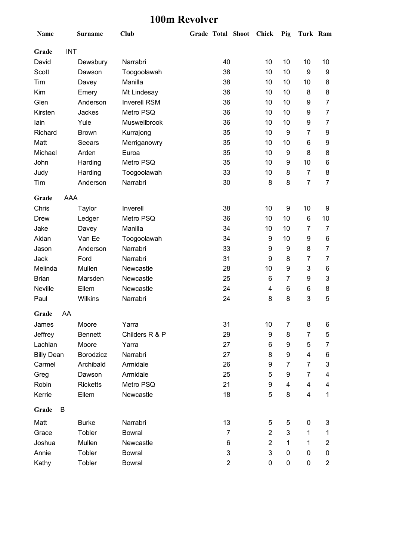#### **100m Revolver**

| Name              |            | <b>Surname</b>  | <b>Club</b>         |    | Grade Total Shoot |   | Chick          | Pig            | Turk Ram                |                  |
|-------------------|------------|-----------------|---------------------|----|-------------------|---|----------------|----------------|-------------------------|------------------|
| Grade             | <b>INT</b> |                 |                     |    |                   |   |                |                |                         |                  |
| David             |            | Dewsbury        | Narrabri            |    | 40                |   | 10             | 10             | 10                      | 10               |
| Scott             |            | Dawson          | Toogoolawah         |    | 38                |   | 10             | 10             | 9                       | 9                |
| Tim               |            | Davey           | Manilla             |    | 38                |   | 10             | 10             | 10                      | 8                |
| Kim               |            | Emery           | Mt Lindesay         |    | 36                |   | 10             | 10             | 8                       | 8                |
| Glen              |            | Anderson        | <b>Inverell RSM</b> |    | 36                |   | 10             | 10             | 9                       | $\overline{7}$   |
| Kirsten           |            | Jackes          | Metro PSQ           |    | 36                |   | 10             | 10             | 9                       | 7                |
| lain              |            | Yule            | Muswellbrook        |    | 36                |   | 10             | 10             | 9                       | 7                |
| Richard           |            | <b>Brown</b>    | Kurrajong           |    | 35                |   | 10             | 9              | 7                       | 9                |
| Matt              |            | Seears          | Merriganowry        |    | 35                |   | 10             | 10             | 6                       | 9                |
| Michael           |            | Arden           | Euroa               |    | 35                |   | 10             | 9              | 8                       | 8                |
| John              |            | Harding         | Metro PSQ           |    | 35                |   | 10             | 9              | 10                      | 6                |
| Judy              |            | Harding         | Toogoolawah         |    | 33                |   | 10             | 8              | $\overline{7}$          | 8                |
| Tim               |            | Anderson        | Narrabri            | 30 |                   | 8 | 8              | $\overline{7}$ | 7                       |                  |
| Grade             | AAA        |                 |                     |    |                   |   |                |                |                         |                  |
| Chris             |            | Taylor          | Inverell            |    | 38                |   | 10             | 9              | 10                      | 9                |
| <b>Drew</b>       |            | Ledger          | Metro PSQ           |    | 36                |   | 10             | 10             | 6                       | 10               |
| Jake              |            | Davey           | Manilla             | 34 |                   |   | 10             | 10             | 7                       | 7                |
| Aidan             |            | Van Ee          | Toogoolawah         |    | 34                |   | 9              | 10             | 9                       | 6                |
| Jason             |            | Anderson        | Narrabri            |    | 33                |   | 9              | 9              | 8                       | $\overline{7}$   |
| Jack              |            | Ford            | Narrabri            |    | 31                |   | 9              | 8              | 7                       | 7                |
| Melinda           |            | Mullen          | Newcastle           |    | 28                |   | 10             | 9              | 3                       | 6                |
| <b>Brian</b>      |            | Marsden         | Newcastle           |    | 25                |   | 6              | 7              | 9                       | 3                |
| Neville           |            | Ellem           | Newcastle           |    | 24                |   | 4              | 6              | 6                       | 8                |
| Paul              |            | Wilkins         | Narrabri            |    | 24                |   | 8              | 8              | 3                       | 5                |
| Grade             | AA         |                 |                     |    |                   |   |                |                |                         |                  |
| James             |            | Moore           | Yarra               |    | 31                |   | 10             | 7              | 8                       | 6                |
| Jeffrey           |            | <b>Bennett</b>  | Childers R & P      |    | 29                |   | 9              | 8              | 7                       | 5                |
| Lachlan           |            | Moore           | Yarra               |    | 27                |   | 6              | 9              | 5                       | 7                |
| <b>Billy Dean</b> |            | Borodzicz       | Narrabri            |    | 27                |   | 8              | 9              | 4                       | 6                |
| Carmel            |            | Archibald       | Armidale            |    | 26                |   | 9              | 7              | 7                       | 3                |
| Greg              |            | Dawson          | Armidale            |    | 25                |   | 5              | 9              | 7                       | 4                |
| Robin             |            | <b>Ricketts</b> | Metro PSQ           |    | 21                |   | 9              | 4              | 4                       | 4                |
| Kerrie            |            | Ellem           | Newcastle           |    | 18                |   | 5              | 8              | $\overline{\mathbf{4}}$ | $\mathbf{1}$     |
| Grade             | B          |                 |                     |    |                   |   |                |                |                         |                  |
| Matt              |            | <b>Burke</b>    | Narrabri            |    | 13                |   | 5              | 5              | 0                       | 3                |
| Grace             |            | Tobler          | <b>Bowral</b>       |    | 7                 |   | $\overline{2}$ | 3              | 1                       | 1                |
| Joshua            |            | Mullen          | Newcastle           |    | 6                 |   | $\overline{2}$ | 1              | 1                       | $\boldsymbol{2}$ |
| Annie             |            | Tobler          | <b>Bowral</b>       |    | 3                 |   | 3              | 0              | 0                       | 0                |
| Kathy             |            | Tobler          | <b>Bowral</b>       |    | $\overline{2}$    |   | 0              | 0              | 0                       | $\overline{c}$   |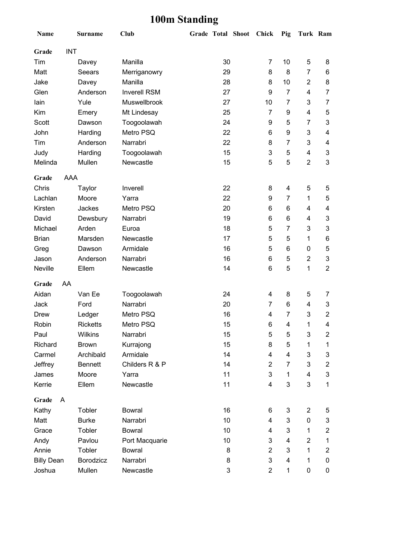## **100m Standing**

| Name                | <b>Surname</b>  | <b>Club</b>         |    |    | Grade Total Shoot Chick |                | Pig                      | Turk Ram                  |                           |
|---------------------|-----------------|---------------------|----|----|-------------------------|----------------|--------------------------|---------------------------|---------------------------|
| <b>INT</b><br>Grade |                 |                     |    |    |                         |                |                          |                           |                           |
| Tim                 | Davey           | Manilla             |    | 30 |                         | 7              | 10                       | 5                         | 8                         |
| Matt                | Seears          | Merriganowry        |    | 29 |                         | 8              | 8                        | $\overline{7}$            | 6                         |
| Jake                | Davey           | Manilla             |    | 28 |                         | 8              | 10                       | $\overline{c}$            | 8                         |
| Glen                | Anderson        | <b>Inverell RSM</b> |    | 27 |                         | 9              | $\overline{7}$           | 4                         | $\overline{7}$            |
| lain                | Yule            | Muswellbrook        |    | 27 |                         | 10             | $\overline{7}$           | 3                         | $\overline{7}$            |
| Kim                 | Emery           | Mt Lindesay         |    | 25 |                         | $\overline{7}$ | 9                        | 4                         | 5                         |
| <b>Scott</b>        | Dawson          | Toogoolawah         |    | 24 |                         | 9              | 5                        | 7                         | 3                         |
| John                | Harding         | Metro PSQ           |    | 22 |                         | 6              | 9                        | 3                         | $\overline{\mathcal{A}}$  |
| Tim                 | Anderson        | Narrabri            |    | 22 |                         | 8              | 7                        | 3                         | 4                         |
| Judy                | Harding         | Toogoolawah         |    | 15 |                         | 3              | 5                        | 4                         | $\ensuremath{\mathsf{3}}$ |
| Melinda             | Mullen          | Newcastle           |    | 15 |                         | 5              | 5                        | $\overline{2}$            | 3                         |
| AAA<br>Grade        |                 |                     |    |    |                         |                |                          |                           |                           |
| Chris               | Taylor          | Inverell            |    | 22 |                         | 8              | $\overline{\mathcal{A}}$ | 5                         | 5                         |
| Lachlan             | Moore           | Yarra               |    | 22 |                         | 9              | 7                        | 1                         | 5                         |
| Kirsten             | Jackes          | Metro PSQ           | 20 |    |                         | 6              | 6                        | 4                         | 4                         |
| David               | Dewsbury        | Narrabri            | 19 |    |                         | 6              | 6                        | 4                         | 3                         |
| Michael             | Arden           | Euroa               | 18 |    | 5                       | 7              | 3                        | $\mathbf{3}$              |                           |
| <b>Brian</b>        | Marsden         | Newcastle           | 17 |    | 5                       | 5              | 1                        | 6                         |                           |
| Greg                | Dawson          | Armidale            |    | 16 |                         | 5              | 6                        | 0                         | 5                         |
| Jason               | Anderson        | Narrabri            |    | 16 |                         | 6              | 5                        | $\overline{2}$            | $\mathbf 3$               |
| Neville             | Ellem           | Newcastle           |    | 14 |                         | 6              | 5                        | 1                         | $\overline{2}$            |
| AA<br>Grade         |                 |                     |    |    |                         |                |                          |                           |                           |
| Aidan               | Van Ee          | Toogoolawah         |    | 24 |                         | 4              | 8                        | 5                         | 7                         |
| Jack                | Ford            | Narrabri            |    | 20 |                         | 7              | 6                        | 4                         | 3                         |
| <b>Drew</b>         | Ledger          | Metro PSQ           |    | 16 |                         | 4              | $\overline{7}$           | 3                         | $\overline{2}$            |
| Robin               | <b>Ricketts</b> | Metro PSQ           |    | 15 |                         | 6              | 4                        | 1                         | 4                         |
| Paul                | Wilkins         | Narrabri            |    | 15 |                         | 5              | 5                        | $\ensuremath{\mathsf{3}}$ | $\overline{2}$            |
| Richard             | <b>Brown</b>    | Kurrajong           |    | 15 |                         | 8              | 5                        | 1                         | 1                         |
| Carmel              | Archibald       | Armidale            |    | 14 |                         | 4              | 4                        | 3                         | $\ensuremath{\mathsf{3}}$ |
| Jeffrey             | <b>Bennett</b>  | Childers R & P      |    | 14 |                         | 2              | 7                        | 3                         | $\overline{2}$            |
| James               | Moore           | Yarra               |    | 11 |                         | 3              | 1                        | 4                         | $\ensuremath{\mathsf{3}}$ |
| Kerrie              | Ellem           | Newcastle           |    | 11 |                         | 4              | 3                        | 3                         | 1                         |
| Grade<br>A          |                 |                     |    |    |                         |                |                          |                           |                           |
| Kathy               | Tobler          | <b>Bowral</b>       |    | 16 |                         | 6              | 3                        | $\overline{2}$            | 5                         |
| Matt                | <b>Burke</b>    | Narrabri            |    | 10 |                         | 4              | 3                        | 0                         | 3                         |
| Grace               | Tobler          | <b>Bowral</b>       |    | 10 |                         | 4              | 3                        | $\mathbf 1$               | $\overline{2}$            |
| Andy                | Pavlou          | Port Macquarie      |    | 10 |                         | 3              | 4                        | $\overline{c}$            | 1                         |
| Annie               | Tobler          | <b>Bowral</b>       |    | 8  |                         | $\overline{2}$ | 3                        | 1                         | $\overline{2}$            |
| <b>Billy Dean</b>   | Borodzicz       | Narrabri            |    | 8  |                         | 3              | 4                        | 1                         | 0                         |
| Joshua              | Mullen          | Newcastle           |    | 3  |                         | $\overline{2}$ | 1                        | $\pmb{0}$                 | 0                         |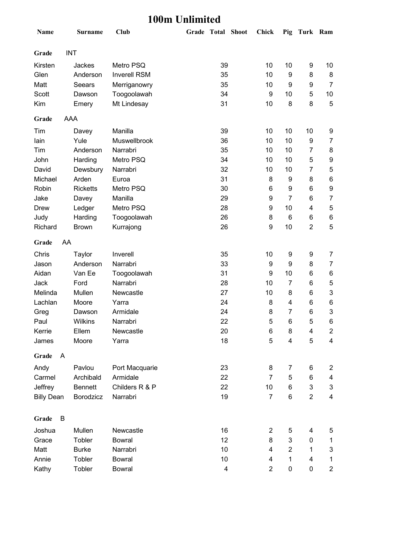### **100m Unlimited**

| Name              |            | <b>Surname</b>  | <b>Club</b>         | Grade Total Shoot       | <b>Chick</b>   | Pig            | Turk Ram       |                           |
|-------------------|------------|-----------------|---------------------|-------------------------|----------------|----------------|----------------|---------------------------|
| Grade             |            | <b>INT</b>      |                     |                         |                |                |                |                           |
| Kirsten           |            | Jackes          | Metro PSQ           | 39                      | 10             | 10             | 9              | 10                        |
| Glen              |            | Anderson        | <b>Inverell RSM</b> | 35                      | 10             | 9              | 8              | 8                         |
| Matt              |            | Seears          | Merriganowry        | 35                      | 10             | 9              | 9              | $\overline{7}$            |
| Scott             |            | Dawson          | Toogoolawah         | 34                      | 9              | 10             | 5              | 10                        |
| Kim               |            | Emery           | Mt Lindesay         | 31                      | 10             | 8              | 8              | 5                         |
| Grade             | <b>AAA</b> |                 |                     |                         |                |                |                |                           |
| Tim               |            | Davey           | Manilla             | 39                      | 10             | 10             | 10             | 9                         |
| lain              |            | Yule            | Muswellbrook        | 36                      | 10             | 10             | 9              | $\overline{7}$            |
| Tim               |            | Anderson        | Narrabri            | 35                      | 10             | 10             | 7              | 8                         |
| John              |            | Harding         | Metro PSQ           | 34                      | 10             | 10             | 5              | 9                         |
| David             |            | Dewsbury        | Narrabri            | 32                      | 10             | 10             | 7              | 5                         |
| Michael           |            | Arden           | Euroa               | 31                      | 8              | 9              | 8              | $\,6\,$                   |
| Robin             |            | <b>Ricketts</b> | Metro PSQ           | 30                      | 6              | 9              | 6              | $\boldsymbol{9}$          |
| Jake              |            | Davey           | Manilla             | 29                      | 9              | $\overline{7}$ | 6              | $\overline{7}$            |
| <b>Drew</b>       |            | Ledger          | Metro PSQ           | 28                      | 9              | 10             | 4              | $\mathbf 5$               |
| Judy              |            | Harding         | Toogoolawah         | 26                      | 8              | 6              | 6              | 6                         |
| Richard           |            | <b>Brown</b>    | Kurrajong           | 26                      | 9              | 10             | $\overline{2}$ | 5                         |
| Grade             | AA         |                 |                     |                         |                |                |                |                           |
| Chris             |            | Taylor          | Inverell            | 35                      | 10             | 9              | 9              | 7                         |
| Jason             |            | Anderson        | Narrabri            | 33                      | 9              | 9              | 8              | $\overline{7}$            |
| Aidan             |            | Van Ee          | Toogoolawah         | 31                      | 9              | 10             | 6              | 6                         |
| Jack              |            | Ford            | Narrabri            | 28                      | 10             | $\overline{7}$ | 6              | $\mathbf 5$               |
| Melinda           |            | Mullen          | Newcastle           | 27                      | 10             | 8              | 6              | $\ensuremath{\mathsf{3}}$ |
| Lachlan           |            | Moore           | Yarra               | 24                      | 8              | 4              | 6              | 6                         |
| Greg              |            | Dawson          | Armidale            | 24                      | 8              | 7              | 6              | $\ensuremath{\mathsf{3}}$ |
| Paul              |            | Wilkins         | Narrabri            | 22                      | 5              | 6              | 5              | 6                         |
| Kerrie            |            | Ellem           | Newcastle           | 20                      | 6              | 8              | 4              | $\overline{c}$            |
| James             |            | Moore           | Yarra               | 18                      | 5              | 4              | 5              | $\overline{\mathbf{4}}$   |
| Grade             | A          |                 |                     |                         |                |                |                |                           |
| Andy              |            | Pavlou          | Port Macquarie      | 23                      | 8              | 7              | 6              | 2                         |
| Carmel            |            | Archibald       | Armidale            | 22                      | 7              | 5              | 6              | 4                         |
| Jeffrey           |            | <b>Bennett</b>  | Childers R & P      | 22                      | 10             | 6              | 3              | 3                         |
| <b>Billy Dean</b> |            | Borodzicz       | Narrabri            | 19                      | $\overline{7}$ | 6              | $\overline{2}$ | $\overline{\mathbf{4}}$   |
| Grade             | B          |                 |                     |                         |                |                |                |                           |
| Joshua            |            | Mullen          | Newcastle           | 16                      | $\overline{2}$ | 5              | 4              | 5                         |
| Grace             |            | Tobler          | <b>Bowral</b>       | 12                      | 8              | 3              | $\pmb{0}$      | $\mathbf 1$               |
| Matt              |            | <b>Burke</b>    | Narrabri            | 10                      | 4              | $\overline{2}$ | 1              | 3                         |
| Annie             |            | Tobler          | <b>Bowral</b>       | 10                      | 4              | 1              | 4              | $\mathbf 1$               |
| Kathy             |            | Tobler          | <b>Bowral</b>       | $\overline{\mathbf{4}}$ | $\overline{2}$ | $\pmb{0}$      | 0              | $\overline{\mathbf{c}}$   |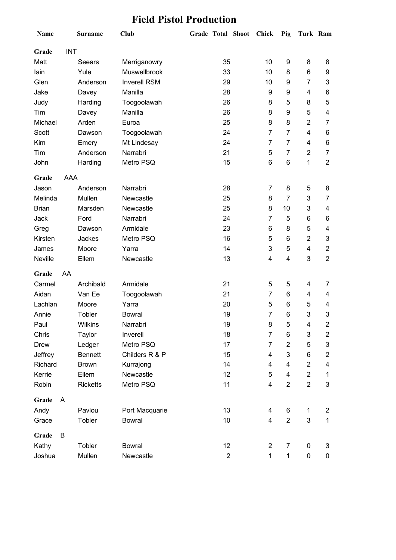### **Field Pistol Production**

| Name           |            | <b>Surname</b>  | <b>Club</b>         | Grade Total Shoot | <b>Chick</b>   | Pig            | Turk Ram       |                  |
|----------------|------------|-----------------|---------------------|-------------------|----------------|----------------|----------------|------------------|
| Grade          | <b>INT</b> |                 |                     |                   |                |                |                |                  |
| Matt           |            | Seears          | Merriganowry        | 35                | 10             | 9              | 8              | 8                |
| lain           |            | Yule            | Muswellbrook        | 33                | 10             | 8              | 6              | 9                |
| Glen           |            | Anderson        | <b>Inverell RSM</b> | 29                | 10             | 9              | 7              | 3                |
| Jake           |            | Davey           | Manilla             | 28                | 9              | 9              | 4              | 6                |
| Judy           |            | Harding         | Toogoolawah         | 26                | 8              | 5              | 8              | 5                |
| Tim            |            | Davey           | Manilla             | 26                | 8              | 9              | 5              | 4                |
| Michael        |            | Arden           | Euroa               | 25                | 8              | 8              | $\overline{2}$ | 7                |
| Scott          |            | Dawson          | Toogoolawah         | 24                | $\overline{7}$ | $\overline{7}$ | 4              | 6                |
| Kim            |            | Emery           | Mt Lindesay         | 24                | $\overline{7}$ | $\overline{7}$ | 4              | 6                |
| Tim            |            | Anderson        | Narrabri            | 21                | 5              | $\overline{7}$ | $\overline{2}$ | $\overline{7}$   |
| John           |            | Harding         | Metro PSQ           | 15                | 6              | 6              | 1              | $\overline{2}$   |
| Grade          | AAA        |                 |                     |                   |                |                |                |                  |
| Jason          |            | Anderson        | Narrabri            | 28                | $\overline{7}$ | 8              | 5              | 8                |
| Melinda        |            | Mullen          | Newcastle           | 25                | 8              | $\overline{7}$ | 3              | 7                |
| <b>Brian</b>   |            | Marsden         | Newcastle           | 25                | 8              | 10             | 3              | 4                |
| Jack           |            | Ford            | Narrabri            | 24                | $\overline{7}$ | 5              | 6              | 6                |
| Greg           |            | Dawson          | Armidale            | 23                | 6              | 8              | 5              | 4                |
| Kirsten        |            | Jackes          | Metro PSQ           | 16                | 5              | 6              | $\overline{2}$ | 3                |
| James          |            | Moore           | Yarra               | 14                | 3              | 5              | 4              | $\mathbf{2}$     |
| <b>Neville</b> |            | Ellem           | Newcastle           | 13                | 4              | 4              | 3              | $\overline{2}$   |
| Grade          | AA         |                 |                     |                   |                |                |                |                  |
| Carmel         |            | Archibald       | Armidale            | 21                | 5              | 5              | 4              | 7                |
| Aidan          |            | Van Ee          | Toogoolawah         | 21                | $\overline{7}$ | 6              | 4              | 4                |
| Lachlan        |            | Moore           | Yarra               | 20                | 5              | 6              | 5              | 4                |
| Annie          |            | Tobler          | <b>Bowral</b>       | 19                | $\overline{7}$ | 6              | 3              | 3                |
| Paul           |            | Wilkins         | Narrabri            | 19                | 8              | 5              | 4              | $\overline{c}$   |
| Chris          |            | Taylor          | Inverell            | 18                | $\overline{7}$ | 6              | 3              | $\overline{c}$   |
| <b>Drew</b>    |            | Ledger          | Metro PSQ           | 17                | $\overline{7}$ | $\overline{2}$ | 5              | 3                |
| Jeffrey        |            | <b>Bennett</b>  | Childers R & P      | 15                | 4              | 3              | 6              | $\boldsymbol{2}$ |
| Richard        |            | <b>Brown</b>    | Kurrajong           | 14                | 4              | 4              | $\overline{2}$ | 4                |
| Kerrie         |            | Ellem           | Newcastle           | 12                | 5              | 4              | $\overline{2}$ | $\mathbf{1}$     |
| Robin          |            | <b>Ricketts</b> | Metro PSQ           | 11                | 4              | $\overline{2}$ | $\overline{2}$ | 3                |
| Grade          | A          |                 |                     |                   |                |                |                |                  |
| Andy           |            | Pavlou          | Port Macquarie      | 13                | 4              | 6              | $\mathbf{1}$   | $\overline{c}$   |
| Grace          |            | Tobler          | <b>Bowral</b>       | 10                | 4              | $\overline{2}$ | 3              | $\mathbf{1}$     |
| Grade          | B          |                 |                     |                   |                |                |                |                  |
| Kathy          |            | Tobler          | <b>Bowral</b>       | 12                | $\overline{2}$ | $\overline{7}$ | $\pmb{0}$      | 3                |
| Joshua         |            | Mullen          | Newcastle           | $\overline{2}$    | $\mathbf{1}$   | $\mathbf{1}$   | 0              | 0                |